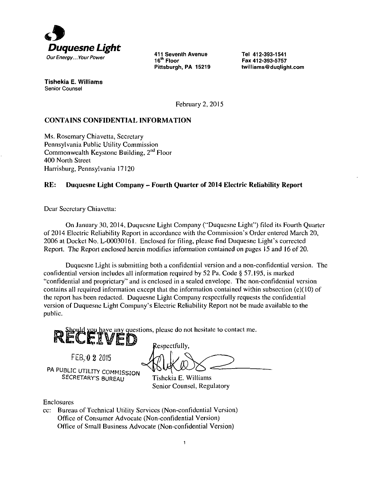

16<sup>''</sup> Floor Pittsburgh, PA 15219

Tel 412-393-1541 Fax 412-393-5757 twilliams@duqlight.com

Tishekia E. Williams **Senior Counsel** 

February 2, 2015

### **CONTAINS CONFIDENTIAL INFORMATION**

Ms. Rosemary Chiavetta, Secretary Pennsylvania Public Utility Commission Commonwealth Keystone Building, 2<sup>nd</sup> Floor 400 North Street Harrisburg, Pennsylvania 17120

#### **RE: Duquesne Light Company - Fourth Quarter of 2014 Electric Reliahility Report**

Dear Secretary Chiavetta:

On January 30, 2014, Duquesne Light Company ("Duquesne Light") filed its Fourth Quarter of 2014 Electric Reliability Report in accordance with the Commission's Order entered March 20, 2006 ai Docket No. L-00030161. Enclosed for filing, please find Duquesne Light's corrected Report. The Report enclosed herein modifies information contained on pages 15 and 16 of 20.

Duquesne Light is submitting both a confidential version and a non-confidential version. The confidential version includes all information required by 52 Pa. Code § 57.195, is marked "confidential and proprietary" and is enclosed in a sealed envelope. The non-confidential version contains all required information except that the information contained within subsection (e)(l0) of the report has been redacted. Duquesne Light Company respectfully requests the confidential version of Duquesne Light Company's Electric Reliability Report not be made available to the public.

should you have any questions, please do not hesitate to contact me.

FEB. 0 2 2015 PA PUBLIC UTILITY COMMISSION SECRETARY'S BUREAU Tishekia E. Williams

Respectfully,

Senior Counsel, Regulatory

Enclosures

cc: Bureau of Technical Utiliiy Services (Non-confidential Version) Office of Consumer Advocate (Non-confidential Version) Office of Small Business Advocate (Non-confidential Version)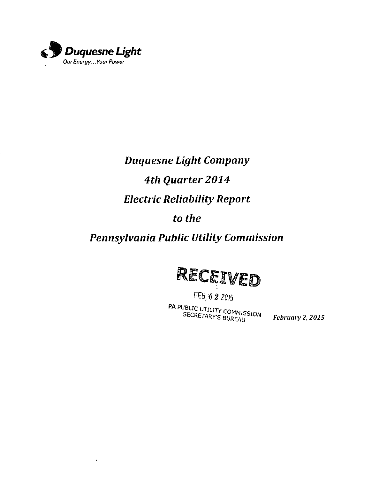

 $\bar{\mathbf{v}}$ 

# *Duquesne Light Company 4th Quarter 2014 Electric Reliability Report*

# *to the*

# *Pennsylvania Public Utility Commission*



*FEB*<sup><sup>*0*</sup> 2 2015<br>**PA PUBLIC UTILITY COMMISSION**<br>**SECRETARY'S BUREAU**</sup>

*February 2, 2015*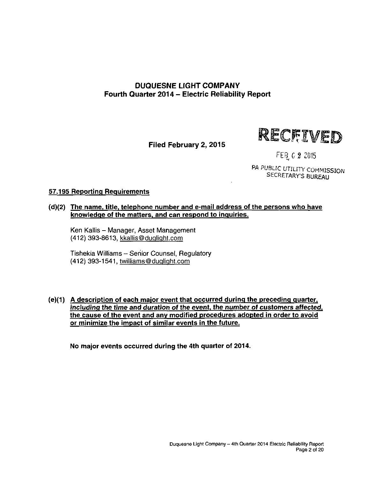# **DUQUESNE LIGHT COMPANY Fourth Quarter 2014 - Electric Reliability Report**

**Filed February 2, 2015** 



FEB 0 2 2015

PA PUBLIC UTILITY COMMISSION SECRETARY'S BUREAU

### **57.195 Reporting Requirements**

**(d)(2) The name, title, telephone number and e-mail address of the persons who have knowledge of the matters, and can respond to inquiries.** 

Ken Kallis - Manager, Asset Management (412) 393-8613, kkallis@duqliqht.com

Tishekia Williams - Senior Counsel, Regulatory (412) 393-1541, twilliams@duqlight.com

**(e)(1) A description of each major event that occurred during the preceding quarter, including the time and duration of the event, the number of customers affected, the cause of the event and any modified procedures adopted in order to avoid or minimize the impact of similar events in the future.** 

**No major events occurred during the 4th quarter of 2014.**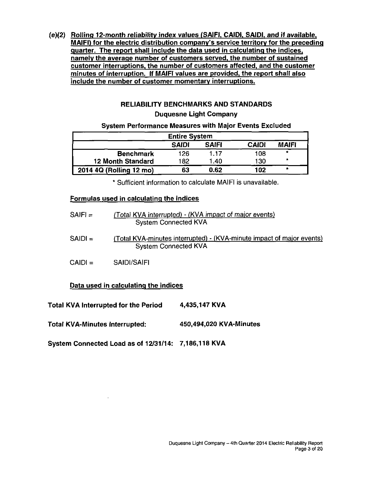**(e)(2) Rolling 12-month reliability index values (SAIFI. CAIDI. SAIDI. and if available. MAIFI) for the electric distribution company's service territory for the preceding quarter. The report shall include the data used in calculating the indices, namely the average number of customers served, the number of sustained customer interruptions, the number of customers affected, and the customer minutes of interruption. If MAIFI values are provided, the report shall also include the number of customer momentary interruptions.** 

# **RELIABILITY BENCHMARKS AND STANDARDS**

#### **Duquesne Light Company**

#### **System Performance Measures with Major Events Excluded**

| <b>Entire System</b>                                         |     |      |     |         |  |  |  |
|--------------------------------------------------------------|-----|------|-----|---------|--|--|--|
| <b>SAIFI</b><br><b>CAIDI</b><br><b>MAIFI</b><br><b>SAIDI</b> |     |      |     |         |  |  |  |
| <b>Benchmark</b>                                             | 126 | 1.17 | 108 | ۰       |  |  |  |
| <b>12 Month Standard</b>                                     | 182 | 1.40 | 130 | $\star$ |  |  |  |
| 2014 4Q (Rolling 12 mo)                                      | 63  | 0.62 | 102 |         |  |  |  |

**\* Sufficient information to calculate MAIFI is unavailable.** 

### **Formulas used in calculating the indices**

| $SAIF =$  | (Total KVA interrupted) - (KVA impact of major events)<br><b>System Connected KVA</b>                |
|-----------|------------------------------------------------------------------------------------------------------|
| $SAIDI =$ | (Total KVA-minutes interrupted) - (KVA-minute impact of major events)<br><b>System Connected KVA</b> |
| $CAIDI =$ | SAIDI/SAIFI                                                                                          |
|           | Data used in calculating the indices                                                                 |
|           | '\fA Internated far the Deriod<br><i>A A</i> 26 1 <i>A</i> 7 K V A                                   |

**Total KVA Interrupted for the Period 4,435,147 KVA** 

**Total KVA-Minutes Interrupted: 450,494,020 KVA-Minutes** 

**System Connected Load as of 12/31/14: 7,186,118 KVA**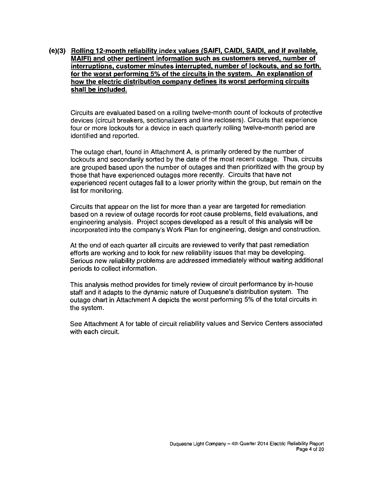**(e)(3) Rolling 12-month reliability index values (SAIFI. CAIDI, SAIDI. and if available. MAIFI) and other pertinent information such as customers served, number of interruptions, customer minutes interrupted, number of lockouts, and so forth, for the worst performing 5% of the circuits in the system. An explanation of how the electric distribution company defines its worst performing circuits shall be included.** 

Circuits are evaluated based on a rolling twelve-month count of lockouts of protective devices (circuit breakers, sectionalizers and line reclosers). Circuits that experience four or more lockouts for a device in each quarterly rolling twelve-month period are identified and reported.

The outage chart, found in Attachment A, is primarily ordered by the number of lockouts and secondarily sorted by the date of the most recent outage. Thus, circuits are grouped based upon the number of outages and then prioritized with the group by those that have experienced outages more recently. Circuits that have not experienced recent outages fall to a lower priority within the group, but remain on the list for monitoring.

Circuits that appear on the list for more than a year are targeted for remediation based on a review of outage records for root cause problems, field evaluations, and engineering analysis. Project scopes developed as a result of this analysis will be incorporated into the company's Work Plan for engineering, design and construction.

At the end of each quarter all circuits are reviewed to verify that past remediation efforts are working and to look for new reliability issues that may be developing. Serious new reliability problems are addressed immediately without waiting additional periods to collect information.

This analysis method provides for timely review of circuit performance by in-house staff and it adapts to the dynamic nature of Duquesne's distribution system. The outage chart in Attachment A depicts the worst performing 5% of the total circuits in the system.

See Attachment A for table of circuit reliability values and Service Centers associated with each circuit.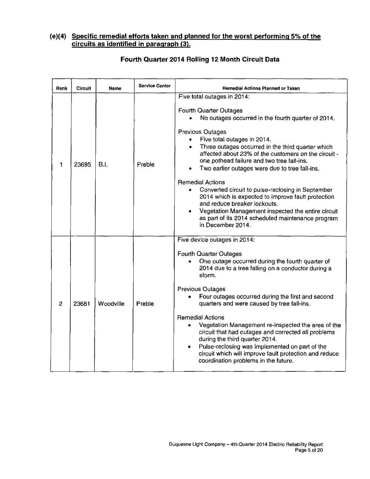### **(e)(4) Specific remedial efforts taken and planned for the worst performing 5% of the circuits as identified in paragraph (3).**

| Rank           | Circuit | Name      | <b>Service Center</b> | <b>Remedial Actions Planned or Taken</b>                                                                                                                                                                                                                                                                                                                                                                                                                                                                                                                                                                                                                                                                          |  |
|----------------|---------|-----------|-----------------------|-------------------------------------------------------------------------------------------------------------------------------------------------------------------------------------------------------------------------------------------------------------------------------------------------------------------------------------------------------------------------------------------------------------------------------------------------------------------------------------------------------------------------------------------------------------------------------------------------------------------------------------------------------------------------------------------------------------------|--|
| 1              | 23695   | B.I.      | Preble                | Five total outages in 2014:<br><b>Fourth Quarter Outages</b><br>No outages occurred in the fourth quarter of 2014.<br><b>Previous Outages</b><br>Five total outages in 2014.<br>Three outages occurred in the third quarter which<br>$\bullet$<br>affected about 23% of the customers on the circuit -<br>one pothead failure and two tree fall-ins.<br>Two earlier outages were due to tree fall-ins.<br><b>Remedial Actions</b><br>Converted circuit to pulse-reclosing in September<br>۰<br>2014 which is expected to improve fault protection<br>and reduce breaker lockouts.<br>Vegetation Management inspected the entire circuit<br>as part of its 2014 scheduled maintenance program<br>in December 2014. |  |
| $\overline{2}$ | 23681   | Woodville | Preble                | Five device outages in 2014:<br><b>Fourth Quarter Outages</b><br>One outage occurred during the fourth quarter of<br>2014 due to a tree falling on a conductor during a<br>storm.<br><b>Previous Outages</b><br>Four outages occurred during the first and second<br>quarters and were caused by tree fall-ins.<br><b>Remedial Actions</b><br>Vegetation Management re-inspected the area of the<br>$\bullet$<br>circuit that had outages and corrected all problems<br>during the third quarter 2014.<br>Pulse-reclosing was implemented on part of the<br>circuit which will improve fault protection and reduce<br>coordination problems in the future.                                                        |  |

# **Fourth Quarter 2014 Rolling 12 Month Circuit Data**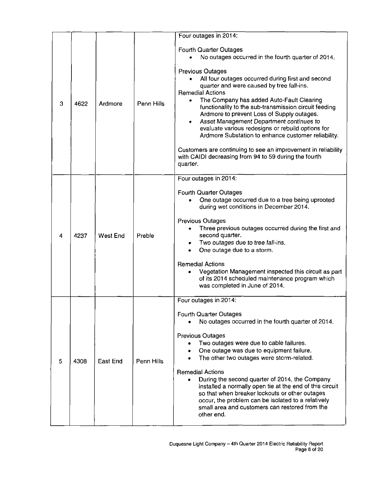|   |      |          |            | Four outages in 2014:                                                                                                                                                                                                                                                                                                                                                                                                                                                                                                                                                                                                                                                                                   |  |
|---|------|----------|------------|---------------------------------------------------------------------------------------------------------------------------------------------------------------------------------------------------------------------------------------------------------------------------------------------------------------------------------------------------------------------------------------------------------------------------------------------------------------------------------------------------------------------------------------------------------------------------------------------------------------------------------------------------------------------------------------------------------|--|
| 3 | 4622 | Ardmore  | Penn Hills | <b>Fourth Quarter Outages</b><br>No outages occurred in the fourth quarter of 2014.<br><b>Previous Outages</b><br>All four outages occurred during first and second<br>quarter and were caused by tree fall-ins.<br><b>Remedial Actions</b><br>The Company has added Auto-Fault Clearing<br>۰<br>functionality to the sub-transmission circuit feeding<br>Ardmore to prevent Loss of Supply outages.<br>Asset Management Department continues to<br>٠<br>evaluate various redesigns or rebuild options for<br>Ardmore Substation to enhance customer reliability.<br>Customers are continuing to see an improvement in reliability<br>with CAIDI decreasing from 94 to 59 during the fourth<br>quarter. |  |
| 4 | 4237 | West End | Preble     | Four outages in 2014:<br><b>Fourth Quarter Outages</b><br>One outage occurred due to a tree being uprooted<br>during wet conditions in December 2014.<br><b>Previous Outages</b><br>Three previous outages occurred during the first and<br>$\bullet$<br>second quarter.<br>Two outages due to tree fall-ins.<br>٠<br>One outage due to a storm.<br><b>Remedial Actions</b><br>Vegetation Management inspected this circuit as part<br>of its 2014 scheduled maintenance program which<br>was completed in June of 2014.                                                                                                                                                                                |  |
| 5 | 4308 | East End | Penn Hills | Four outages in 2014:<br><b>Fourth Quarter Outages</b><br>No outages occurred in the fourth quarter of 2014.<br><b>Previous Outages</b><br>Two outages were due to cable failures.<br>One outage was due to equipment failure.<br>The other two outages were storm-related.<br><b>Remedial Actions</b><br>During the second quarter of 2014, the Company<br>installed a normally open tie at the end of this circuit<br>so that when breaker lockouts or other outages<br>occur, the problem can be isolated to a relatively<br>small area and customers can restored from the<br>other end.                                                                                                            |  |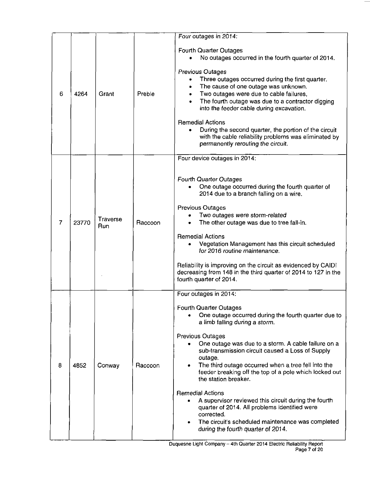|   |       |                 |         | Four outages in 2014:                                                                                                                                                                                                                                                                                                                                                                                                                                                                                                                                                                                                                                                                   |
|---|-------|-----------------|---------|-----------------------------------------------------------------------------------------------------------------------------------------------------------------------------------------------------------------------------------------------------------------------------------------------------------------------------------------------------------------------------------------------------------------------------------------------------------------------------------------------------------------------------------------------------------------------------------------------------------------------------------------------------------------------------------------|
| 6 | 4264  | Grant           | Preble  | <b>Fourth Quarter Outages</b><br>No outages occurred in the fourth quarter of 2014.<br><b>Previous Outages</b><br>Three outages occurred during the first quarter.<br>The cause of one outage was unknown.<br>Two outages were due to cable failures,<br>$\bullet$<br>The fourth outage was due to a contractor digging<br>into the feeder cable during excavation.<br><b>Remedial Actions</b><br>During the second quarter, the portion of the circuit<br>with the cable reliability problems was eliminated by<br>permanently rerouting the circuit.                                                                                                                                  |
| 7 | 23770 | Traverse<br>Run | Raccoon | Four device outages in 2014:<br><b>Fourth Quarter Outages</b><br>One outage occurred during the fourth quarter of<br>2014 due to a branch falling on a wire.<br><b>Previous Outages</b><br>Two outages were storm-related<br>The other outage was due to tree fall-in.<br><b>Remedial Actions</b><br>Vegetation Management has this circuit scheduled<br>for 2016 routine maintenance.<br>Reliability is improving on the circuit as evidenced by CAIDI<br>decreasing from 148 in the third quarter of 2014 to 127 in the<br>fourth quarter of 2014.                                                                                                                                    |
| 8 | 4852  | Conway          | Raccoon | Four outages in 2014:<br><b>Fourth Quarter Outages</b><br>One outage occurred during the fourth quarter due to<br>a limb falling during a storm.<br><b>Previous Outages</b><br>One outage was due to a storm. A cable failure on a<br>sub-transmission circuit caused a Loss of Supply<br>outage.<br>The third outage occurred when a tree fell into the<br>feeder breaking off the top of a pole which locked out<br>the station breaker.<br><b>Remedial Actions</b><br>A supervisor reviewed this circuit during the fourth<br>quarter of 2014. All problems identified were<br>corrected.<br>The circuit's scheduled maintenance was completed<br>during the fourth quarter of 2014. |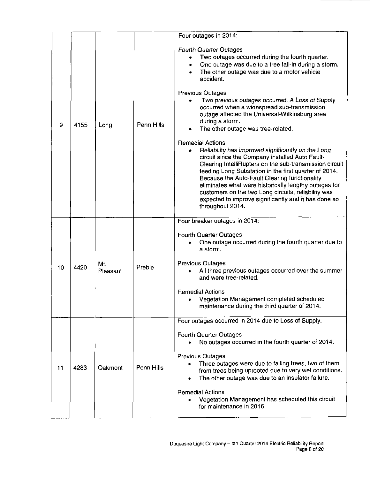| 9  | 4155 | Long            | Penn Hills | Four outages in 2014:<br><b>Fourth Quarter Outages</b><br>Two outages occurred during the fourth quarter.<br>$\bullet$<br>One outage was due to a tree fall-in during a storm.<br>٠<br>The other outage was due to a motor vehicle<br>accident.<br><b>Previous Outages</b><br>Two previous outages occurred. A Loss of Supply<br>occurred when a widespread sub-transmission<br>outage affected the Universal-Wilkinsburg area<br>during a storm.<br>The other outage was tree-related.<br><b>Remedial Actions</b><br>Reliability has improved significantly on the Long<br>circuit since the Company installed Auto Fault-<br>Clearing IntelliRupters on the sub-transmission circuit<br>feeding Long Substation in the first quarter of 2014.<br>Because the Auto-Fault Clearing functionality<br>eliminates what were historically lengthy outages for<br>customers on the two Long circuits, reliability was<br>expected to improve significantly and it has done so<br>throughout 2014. |
|----|------|-----------------|------------|----------------------------------------------------------------------------------------------------------------------------------------------------------------------------------------------------------------------------------------------------------------------------------------------------------------------------------------------------------------------------------------------------------------------------------------------------------------------------------------------------------------------------------------------------------------------------------------------------------------------------------------------------------------------------------------------------------------------------------------------------------------------------------------------------------------------------------------------------------------------------------------------------------------------------------------------------------------------------------------------|
|    |      |                 |            | Four breaker outages in 2014:<br><b>Fourth Quarter Outages</b><br>One outage occurred during the fourth quarter due to                                                                                                                                                                                                                                                                                                                                                                                                                                                                                                                                                                                                                                                                                                                                                                                                                                                                       |
| 10 | 4420 | Mt.<br>Pleasant | Preble     | a storm.<br><b>Previous Outages</b><br>All three previous outages occurred over the summer<br>and were tree-related.                                                                                                                                                                                                                                                                                                                                                                                                                                                                                                                                                                                                                                                                                                                                                                                                                                                                         |
|    |      |                 |            | <b>Remedial Actions</b><br>Vegetation Management completed scheduled<br>maintenance during the third quarter of 2014.                                                                                                                                                                                                                                                                                                                                                                                                                                                                                                                                                                                                                                                                                                                                                                                                                                                                        |
|    |      |                 |            | Four outages occurred in 2014 due to Loss of Supply:<br><b>Fourth Quarter Outages</b><br>No outages occurred in the fourth quarter of 2014.                                                                                                                                                                                                                                                                                                                                                                                                                                                                                                                                                                                                                                                                                                                                                                                                                                                  |
| 11 | 4283 | Oakmont         | Penn Hills | <b>Previous Outages</b><br>Three outages were due to falling trees, two of them<br>from trees being uprooted due to very wet conditions.<br>The other outage was due to an insulator failure.<br>$\bullet$                                                                                                                                                                                                                                                                                                                                                                                                                                                                                                                                                                                                                                                                                                                                                                                   |
|    |      |                 |            | <b>Remedial Actions</b><br>Vegetation Management has scheduled this circuit<br>for maintenance in 2016.                                                                                                                                                                                                                                                                                                                                                                                                                                                                                                                                                                                                                                                                                                                                                                                                                                                                                      |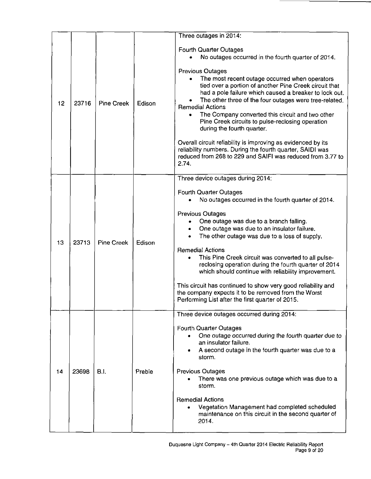| 12 | 23716 | <b>Pine Creek</b> | Edison | Three outages in 2014:<br><b>Fourth Quarter Outages</b><br>No outages occurred in the fourth quarter of 2014.<br><b>Previous Outages</b><br>The most recent outage occurred when operators<br>tied over a portion of another Pine Creek circuit that<br>had a pole failure which caused a breaker to lock out.<br>The other three of the four outages were tree-related.<br><b>Remedial Actions</b><br>The Company converted this circuit and two other<br>٠<br>Pine Creek circuits to pulse-reclosing operation<br>during the fourth quarter.<br>Overall circuit reliability is improving as evidenced by its<br>reliability numbers. During the fourth quarter, SAIDI was<br>reduced from 268 to 229 and SAIFI was reduced from 3.77 to<br>2.74. |
|----|-------|-------------------|--------|----------------------------------------------------------------------------------------------------------------------------------------------------------------------------------------------------------------------------------------------------------------------------------------------------------------------------------------------------------------------------------------------------------------------------------------------------------------------------------------------------------------------------------------------------------------------------------------------------------------------------------------------------------------------------------------------------------------------------------------------------|
| 13 | 23713 | <b>Pine Creek</b> | Edison | Three device outages during 2014:<br><b>Fourth Quarter Outages</b><br>No outages occurred in the fourth quarter of 2014.<br><b>Previous Outages</b><br>One outage was due to a branch falling.<br>One outage was due to an insulator failure.<br>۰<br>The other outage was due to a loss of supply.<br>$\bullet$<br><b>Remedial Actions</b><br>This Pine Creek circuit was converted to all pulse-<br>reclosing operation during the fourth quarter of 2014<br>which should continue with reliability improvement.<br>This circuit has continued to show very good reliability and<br>the company expects it to be removed from the Worst<br>Performing List after the first quarter of 2015.                                                      |
| 14 | 23698 | <b>B.I.</b>       | Preble | Three device outages occurred during 2014:<br><b>Fourth Quarter Outages</b><br>One outage occurred during the fourth quarter due to<br>an insulator failure.<br>A second outage in the fourth quarter was due to a<br>storm.<br><b>Previous Outages</b><br>There was one previous outage which was due to a<br>storm.<br><b>Remedial Actions</b><br>Vegetation Management had completed scheduled<br>maintenance on this circuit in the second quarter of<br>2014.                                                                                                                                                                                                                                                                                 |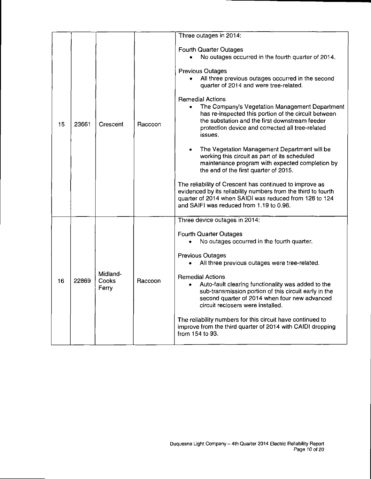| 15 | 23661 | Crescent                   | Raccoon | Three outages in 2014:<br><b>Fourth Quarter Outages</b><br>No outages occurred in the fourth quarter of 2014.<br><b>Previous Outages</b><br>All three previous outages occurred in the second<br>$\bullet$<br>quarter of 2014 and were tree-related.<br><b>Remedial Actions</b><br>The Company's Vegetation Management Department<br>$\bullet$<br>has re-inspected this portion of the circuit between<br>the substation and the first downstream feeder<br>protection device and corrected all tree-related<br>issues.<br>The Vegetation Management Department will be<br>$\bullet$<br>working this circuit as part of its scheduled<br>maintenance program with expected completion by<br>the end of the first quarter of 2015.<br>The reliability of Crescent has continued to improve as<br>evidenced by its reliability numbers from the third to fourth<br>quarter of 2014 when SAIDI was reduced from 128 to 124<br>and SAIFI was reduced from 1.19 to 0.96. |
|----|-------|----------------------------|---------|---------------------------------------------------------------------------------------------------------------------------------------------------------------------------------------------------------------------------------------------------------------------------------------------------------------------------------------------------------------------------------------------------------------------------------------------------------------------------------------------------------------------------------------------------------------------------------------------------------------------------------------------------------------------------------------------------------------------------------------------------------------------------------------------------------------------------------------------------------------------------------------------------------------------------------------------------------------------|
| 16 | 22869 | Midland-<br>Cooks<br>Ferry | Raccoon | Three device outages in 2014:<br><b>Fourth Quarter Outages</b><br>No outages occurred in the fourth quarter.<br><b>Previous Outages</b><br>All three previous outages were tree-related.<br>$\bullet$<br><b>Remedial Actions</b><br>Auto-fault clearing functionality was added to the<br>sub-transmission portion of this circuit early in the<br>second quarter of 2014 when four new advanced<br>circuit reclosers were installed.<br>The reliability numbers for this circuit have continued to<br>improve from the third quarter of 2014 with CAIDI dropping<br>from 154 to 93.                                                                                                                                                                                                                                                                                                                                                                                |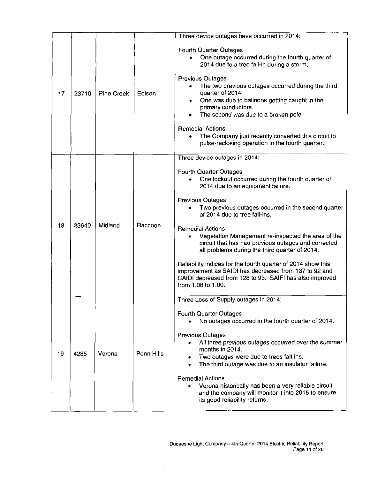| 17 | 23710 | Pine Creek | Edison     | Three device outages have occurred in 2014:<br><b>Fourth Quarter Outages</b><br>One outage occurred during the fourth quarter of<br>2014 due to a tree fall-in during a storm.<br><b>Previous Outages</b><br>The two previous outages occurred during the third<br>$\bullet$<br>quarter of 2014.<br>One was due to balloons getting caught in the<br>$\bullet$<br>primary conductors.<br>The second was due to a broken pole.<br><b>Remedial Actions</b><br>The Company just recently converted this circuit to<br>pulse-reclosing operation in the fourth quarter.                                                                                                             |
|----|-------|------------|------------|---------------------------------------------------------------------------------------------------------------------------------------------------------------------------------------------------------------------------------------------------------------------------------------------------------------------------------------------------------------------------------------------------------------------------------------------------------------------------------------------------------------------------------------------------------------------------------------------------------------------------------------------------------------------------------|
| 18 | 23640 | Midland    | Raccoon    | Three device outages in 2014:<br><b>Fourth Quarter Outages</b><br>One lockout occurred during the fourth quarter of<br>2014 due to an equipment failure.<br><b>Previous Outages</b><br>Two previous outages occurred in the second quarter<br>of 2014 due to tree fall-ins.<br><b>Remedial Actions</b><br>Vegetation Management re-inspected the area of the<br>circuit that has had previous outages and corrected<br>all problems during the third quarter of 2014.<br>Reliability indices for the fourth quarter of 2014 show this<br>improvement as SAIDI has decreased from 137 to 92 and<br>CAIDI decreased from 128 to 93. SAIFI has also improved<br>from 1.08 to 1.00. |
| 19 | 4285  | Verona     | Penn Hills | Three Loss of Supply outages in 2014:<br><b>Fourth Quarter Outages</b><br>No outages occurred in the fourth quarter of 2014.<br><b>Previous Outages</b><br>All three previous outages occurred over the summer<br>months in 2014.<br>Two outages were due to trees fall-ins.<br>The third outage was due to an insulator failure.<br>$\bullet$<br><b>Remedial Actions</b><br>Verona historically has been a very reliable circuit<br>and the company will monitor it into 2015 to ensure<br>its good reliability returns.                                                                                                                                                       |

 $\hat{\mathcal{L}}$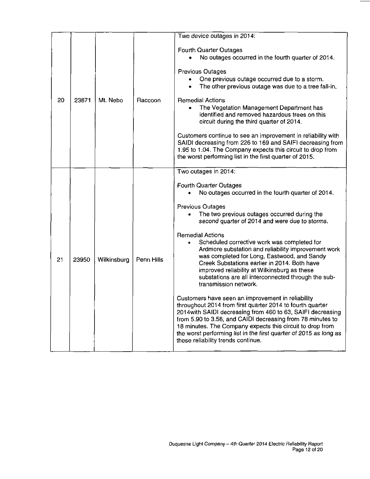| 20 | 23871 | Mt. Nebo    | Raccoon    | Two device outages in 2014:<br><b>Fourth Quarter Outages</b><br>No outages occurred in the fourth quarter of 2014.<br><b>Previous Outages</b><br>One previous outage occurred due to a storm.<br>The other previous outage was due to a tree fall-in.<br><b>Remedial Actions</b><br>The Vegetation Management Department has<br>$\bullet$<br>identified and removed hazardous trees on this<br>circuit during the third quarter of 2014.<br>Customers continue to see an improvement in reliability with<br>SAIDI decreasing from 226 to 169 and SAIFI decreasing from<br>1.95 to 1.04. The Company expects this circuit to drop from<br>the worst performing list in the first quarter of 2015.                                                                                                                                                                                                                                                                                                                         |
|----|-------|-------------|------------|--------------------------------------------------------------------------------------------------------------------------------------------------------------------------------------------------------------------------------------------------------------------------------------------------------------------------------------------------------------------------------------------------------------------------------------------------------------------------------------------------------------------------------------------------------------------------------------------------------------------------------------------------------------------------------------------------------------------------------------------------------------------------------------------------------------------------------------------------------------------------------------------------------------------------------------------------------------------------------------------------------------------------|
| 21 | 23950 | Wilkinsburg | Penn Hills | Two outages in 2014:<br><b>Fourth Quarter Outages</b><br>No outages occurred in the fourth quarter of 2014.<br>Previous Outages<br>The two previous outages occurred during the<br>second quarter of 2014 and were due to storms.<br><b>Remedial Actions</b><br>Scheduled corrective work was completed for<br>Ardmore substation and reliability improvement work<br>was completed for Long, Eastwood, and Sandy<br>Creek Substations earlier in 2014. Both have<br>improved reliability at Wilkinsburg as these<br>substations are all interconnected through the sub-<br>transmission network.<br>Customers have seen an improvement in reliability<br>throughout 2014 from first quarter 2014 to fourth quarter<br>2014 with SAIDI decreasing from 460 to 63, SAIFI decreasing<br>from 5.90 to 3.58, and CAIDI decreasing from 78 minutes to<br>18 minutes. The Company expects this circuit to drop from<br>the worst performing list in the first quarter of 2015 as long as<br>these reliability trends continue. |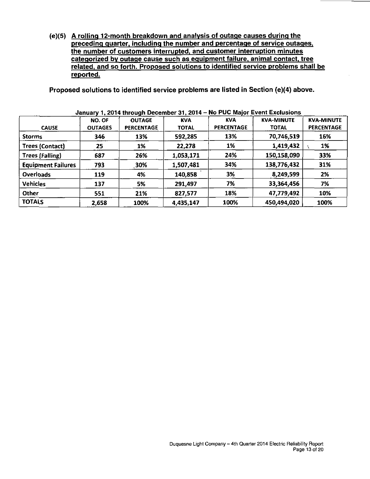**(e)(5) A rolling 12-month breakdown and analysis of outage causes during the preceding quarter, including the number and percentage of service outages, the number of customers interrupted, and customer interruption minutes categorized by outage cause such as eguipment failure, animal contact, tree related, and so forth. Proposed solutions to identified service problems shall be reported.** 

**Proposed solutions to identified service problems are listed in Section (e)(4) above.** 

| <b>CAUSE</b>              | NO. OF<br><b>OUTAGES</b> | <b>OUTAGE</b><br><b>PERCENTAGE</b> | <b>KVA</b><br><b>TOTAL</b> | <b>KVA</b><br><b>PERCENTAGE</b> | <b>KVA-MINUTE</b><br><b>TOTAL</b> | <b>KVA-MINUTE</b><br><b>PERCENTAGE</b> |
|---------------------------|--------------------------|------------------------------------|----------------------------|---------------------------------|-----------------------------------|----------------------------------------|
| <b>Storms</b>             | 346                      | 13%                                | 592,285                    | 13%                             | 70,746,519                        | 16%                                    |
| <b>Trees (Contact)</b>    | 25                       | 1%                                 | 22,278                     | 1%                              | 1,419,432                         | 1%                                     |
| <b>Trees (Falling)</b>    | 687                      | 26%                                | 1,053,171                  | 24%                             | 150,158,090                       | 33%                                    |
| <b>Equipment Failures</b> | 793                      | 30%                                | 1,507,481                  | 34%                             | 138,776,432                       | 31%                                    |
| <b>Overloads</b>          | 119                      | 4%                                 | 140,858                    | 3%                              | 8,249,599                         | 2%                                     |
| <b>Vehicles</b>           | 137                      | 5%                                 | 291,497                    | 7%                              | 33,364,456                        | 7%                                     |
| Other                     | 551                      | 21%                                | 827,577                    | 18%                             | 47,779,492                        | 10%                                    |
| <b>TOTALS</b>             | 2,658                    | 100%                               | 4,435,147                  | 100%                            | 450,494,020                       | 100%                                   |

**January 1, 2014 through December 31, 2014 - 4o PUC Major Event Exclusions**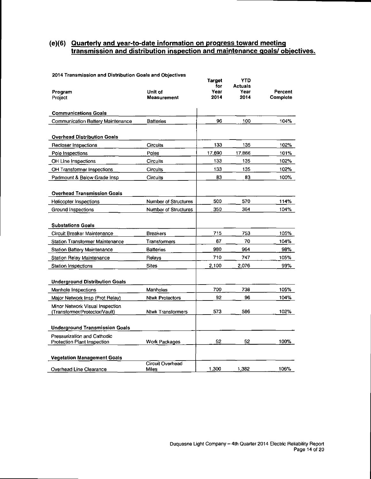### **(e)(6) Quarterly and vear-to-date information on progress toward meeting transmission and distribution inspection and maintenance goals/objectives.**

| Program<br>Project                                                | Unit of<br>Measurement      | Target<br>for<br>Year<br>2014 | <b>YTD</b><br><b>Actuals</b><br>Year<br>2014 | Percent<br>Complete |
|-------------------------------------------------------------------|-----------------------------|-------------------------------|----------------------------------------------|---------------------|
| <b>Communications Goals</b>                                       |                             |                               |                                              |                     |
| Communication Battery Maintenance                                 | <b>Batteries</b>            | 96                            | 100                                          | 104%                |
| <b>Overhead Distribution Goals</b>                                |                             |                               |                                              |                     |
| Recloser Inspections                                              | Circuits                    | 133                           | 135                                          | 102%                |
| Pole Inspections                                                  | Poles                       | 17,690                        | 17,866                                       | 101%                |
| OH Line Inspections                                               | Circuits                    | 133                           | 135                                          | 102%                |
| OH Transformer Inspections                                        | <b>Circuits</b>             | 133                           | 135                                          | 102%                |
| Padmount & Below Grade Insp.                                      | Circuits                    | 83                            | 83                                           | 100%                |
| <b>Overhead Transmission Goals</b>                                |                             |                               |                                              |                     |
| Helicopter Inspections                                            | <b>Number of Structures</b> | 500                           | 570                                          | 114%                |
| Ground Inspections                                                | <b>Number of Structures</b> | 350                           | 364                                          | 104%                |
| <b>Substations Goals</b>                                          |                             |                               |                                              |                     |
| Circuit Breaker Maintenance                                       | <b>Breakers</b>             | 715                           | 753                                          | 105%                |
| <b>Station Transformer Maintenance</b>                            | Transformers                | 67                            | 70                                           | 104%                |
| Station Battery Maintenance                                       | <b>Batteries</b>            | 980                           | 964                                          | 98%                 |
| Station Relay Maintenance                                         | Relays                      | 710                           | 747                                          | 105%                |
| Station Inspections                                               | <b>Sites</b>                | 2,100                         | 2.076                                        | 99%                 |
| <b>Underground Distribution Goals</b>                             |                             |                               |                                              |                     |
| Manhole Inspections                                               | Manholes                    | 700                           | 738                                          | 105%                |
| Major Network Insp (Prot Relay)                                   | <b>Ntwk Protectors</b>      | 92                            | 96                                           | 104%                |
| Minor Network Visual Inspection<br>(Transformer/Protector/Vault)  | <b>Ntwk Transformers</b>    | 573                           | 586                                          | 102%                |
| <b>Underground Transmission Goals</b>                             |                             |                               |                                              |                     |
| <b>Pressurization and Cathodic</b><br>Protection Plant Inspection | Work Packages               | 52                            | 52                                           | 100%                |
| <b>Vegetation Management Goals</b>                                |                             |                               |                                              |                     |
| Overhead Line Clearance                                           | Circuit Overhead<br>Miles   | 1,300                         | 1,382                                        | 106%                |
|                                                                   |                             |                               |                                              |                     |

#### 2014 Transmission and Distribution Goals and Objectives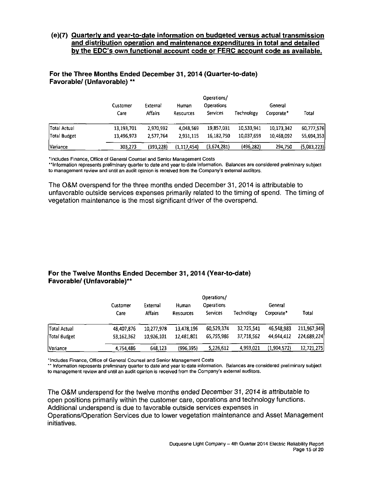#### **(e)(7) Quarterly and vear-to-date information on budgeted versus actual transmission and distribution operation and maintenance expenditures in total and detailed by the EDC's own functional account code or FERC account code as available.**

|                 | Customer   | External   | Human         | Operations/<br><b>Operations</b> | General    |            |             |  |
|-----------------|------------|------------|---------------|----------------------------------|------------|------------|-------------|--|
|                 | Care       | Affairs    | Resources     | Services                         | Technology | Corporate* | Total       |  |
| Total Actual    | 13,193,701 | 2,970,992  | 4.048.569     | 19,857,031                       | 10.533,941 | 10,173,342 | 60,777,576  |  |
| Total Budget    | 13,496,973 | 2.577,764  | 2.931,115     | 16,182,750                       | 10.037,659 | 10,468,092 | 55,694.353  |  |
| <b>Variance</b> | 303.273    | (393, 228) | (1, 117, 454) | (3.674, 281)                     | (496, 282) | 294,750    | (5,083,223) |  |

#### For the Three Months Ended December 31, 2014 (Quarter-to-date) Favorable/ (Unfavorable) \*\*

'Includes Finance, Office of General Counsel and Senior Management Costs

"Information represents preliminary quarter to date and year to date information. Balances are considered preliminary subject to management review and until an audit opinion is received from the Company"s external auditors.

The O&M overspend for the three months ended December 31, 2014 is attributable to unfavorable outside services expenses primarily related to the timing of spend. The timing of vegetation maintenance is the most significant driver of the overspend.

#### **For the Twelve Months Ended December 31, 2014 (Year-to-date) Favorable/ (Unfavorable)\*\***

|                 | Customer   | External       |            | Operations/<br><b>Operations</b><br>Human |            | General     |             |  |  |
|-----------------|------------|----------------|------------|-------------------------------------------|------------|-------------|-------------|--|--|
|                 | Care       | <b>Affairs</b> | Resources  | <b>Services</b>                           | Technology | Corporate*  | Total       |  |  |
| Total Actual    | 48,407.876 | 10.277.978     | 13,478,196 | 60,529,374                                | 32,725,541 | 46,548.983  | 211,967,949 |  |  |
| Total Budget    | 53,162,362 | 10.926.101     | 12.481.801 | 65,755,986                                | 37,718,562 | 44.644.412  | 224,689,224 |  |  |
| <b>Variance</b> | 4.754.486  | 648,123        | (996.395)  | 5,226,612                                 | 4,993,021  | (1,904,572) | 12,721,275  |  |  |

"Includes Finance, Office of General Counsel and Senior Management Costs

\*" Information represents preliminary quarter to date'and year to date information. Balances are considered preliminary subject to management review and until an audit opinion is received from the Company's external auditors.

The O&M underspend for the twelve months ended December 31, 2014 is attributable to open positions primarily within the customer care, operations and technology functions. Additional underspend is due to favorable outside services expenses in Operations/Operation Services due to lower vegetation maintenance and Asset Management initiatives.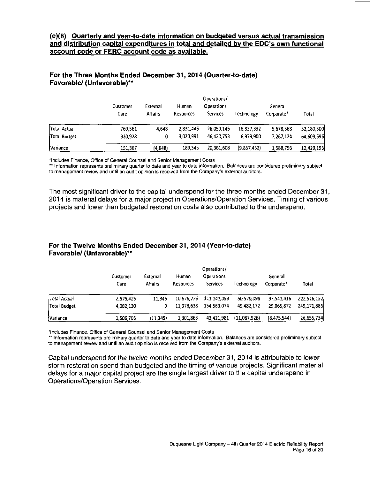#### **(e)(8) Quarterly and vear-to-date information on budgeted versus actual transmission and distribution capital expenditures in total and detailed by the EDC's own functional account code or FERC account code as available.**

#### **For the Three Months Ended December 31, 2014 (Quarter-to-date) Favorable/ (Unfavorable)\*\***

|                 | Operations/      |                            |                    |                                      |             |                       |            |  |  |  |
|-----------------|------------------|----------------------------|--------------------|--------------------------------------|-------------|-----------------------|------------|--|--|--|
|                 | Customer<br>Care | External<br><b>Affairs</b> | Human<br>Resources | <b>Operations</b><br><b>Services</b> | Technology  | General<br>Corporate* | Total      |  |  |  |
| Total Actual    | 769,561          | 4.648                      | 2.831,446          | 26,059,145                           | 16.837,332  | 5,678,368             | 52,180,500 |  |  |  |
| Total Budget    | 920,928          | 0                          | 3.020.991          | 46,420,753                           | 6,979,900   | 7,267,124             | 64,609,696 |  |  |  |
| <b>Variance</b> | 151.367          | (4,648)                    | 189,545            | 20,361,608                           | (9,857,432) | 1,588,756             | 12,429,196 |  |  |  |

'Includes Finance, Office of General Counsel and Senior Management Costs

\*\* Information represents preliminary quarter to date and year to date information. Balances are considered preliminary subject to management review and until an audit opinion is received from the Company's external auditors.

The most significant driver to the capital underspend for the three months ended December 31, 2014 is material delays for a major project in Operations/Operation Services. Timing of various projects and lower than budgeted restoration costs also contributed to the underspend.

### **For the Twelve Months Ended December 31, 2014 (Year-to-date) Favorable/ (Unfavorable)\*\***

|              | Customer  | External<br><b>Human</b><br><b>Affairs</b><br>Care<br>Resources |            | Operations/<br>Operations<br>Services | Technology   | General<br>Corporate* | Total       |
|--------------|-----------|-----------------------------------------------------------------|------------|---------------------------------------|--------------|-----------------------|-------------|
| Total Actual | 2,575,425 | 11,345                                                          | 10,676,775 | 111,141,093                           | 60.570,098   | 37,541,416            | 222,516.152 |
| Total Budget | 4,082,130 | 0                                                               | 11.978,638 | 154,563.074                           | 49.482,172   | 29,065,872            | 249,171,886 |
| Variance     | 1,506,705 | (11, 345)                                                       | 1.301.863  | 43.421.981                            | (11,087,926) | (8, 475, 544)         | 26,655,734  |

'Includes Finance, Office of General Counsel and Senior Management Costs

" Information represents preliminary quarter to date and year to date information. Balances are considered preliminary subject to management review and until an audit opinion is received from the Company's external auditors.

Capital underspend for the twelve months ended December 31, 2014 is attributable to lower storm restoration spend than budgeted and the timing of various projects. Significant material delays for a major capital project are the single largest driver to the capital underspend in Operations/Operation Services.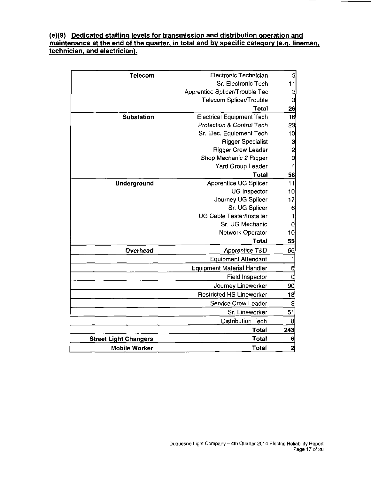### **(e)(9) Dedicated staffing levels for transmission and distribution operation and maintenance at the end of the quarter, in total and by specific category (e.g. linemen, technician, and electrician).**

| <b>Telecom</b>               | Electronic Technician                | 9               |
|------------------------------|--------------------------------------|-----------------|
|                              | Sr. Electronic Tech                  | 11              |
|                              | Apprentice Splicer/Trouble Tec       | 3               |
|                              | Telecom Splicer/Trouble              | 3               |
|                              | <b>Total</b>                         | 26              |
| <b>Substation</b>            | <b>Electrical Equipment Tech</b>     | 16              |
|                              | <b>Protection &amp; Control Tech</b> | 23              |
|                              | Sr. Elec. Equipment Tech             | 10 <sup>1</sup> |
|                              | <b>Rigger Specialist</b>             | 3               |
|                              | <b>Rigger Crew Leader</b>            | $\overline{c}$  |
|                              | Shop Mechanic 2 Rigger               | O               |
|                              | <b>Yard Group Leader</b>             | 4               |
|                              | <b>Total</b>                         | 58              |
| Underground                  | Apprentice UG Splicer                | 11              |
|                              | <b>UG</b> Inspector                  | 10              |
|                              | Journey UG Splicer                   | 17              |
|                              | Sr. UG Splicer                       | 6               |
|                              | <b>UG Cable Tester/Installer</b>     | 1               |
|                              | Sr. UG Mechanic                      | Q               |
|                              | Network Operator                     | 10              |
|                              | Total                                | 55              |
| Overhead                     | Apprentice T&D                       | 66              |
|                              | <b>Equipment Attendant</b>           | 1               |
|                              | <b>Equipment Material Handler</b>    | 6               |
|                              | <b>Field Inspector</b>               | 0               |
|                              | Journey Lineworker                   | 90              |
|                              | <b>Restricted HS Lineworker</b>      | 18              |
|                              | Service Crew Leader                  | 3               |
|                              | Sr. Lineworker                       | 51              |
|                              | <b>Distribution Tech</b>             | 8               |
|                              | <b>Total</b>                         | 243             |
| <b>Street Light Changers</b> | <b>Total</b>                         | 6               |
| <b>Mobile Worker</b>         | Total                                | 2               |
|                              |                                      |                 |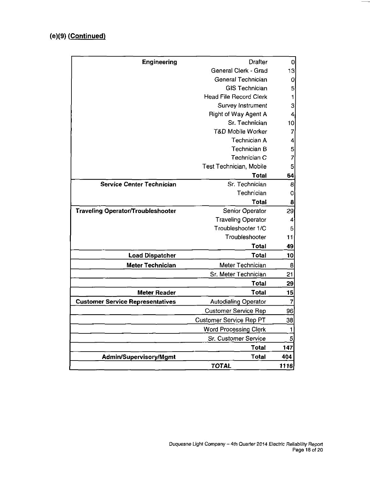# **(e)(9) (Continued)**

| <b>Engineering</b>                       | <b>Drafter</b>                 | 0                        |
|------------------------------------------|--------------------------------|--------------------------|
|                                          | General Clerk - Grad           | 13                       |
|                                          | General Technician             | 0                        |
|                                          | <b>GIS Technician</b>          | 5                        |
|                                          | <b>Head File Record Clerk</b>  | 1                        |
|                                          | <b>Survey Instrument</b>       | 3                        |
|                                          | <b>Right of Way Agent A</b>    | 4                        |
|                                          | Sr. Technician                 | 10                       |
|                                          | <b>T&amp;D Mobile Worker</b>   | $\overline{7}$           |
|                                          | <b>Technician A</b>            | 4                        |
|                                          | <b>Technician B</b>            | 5                        |
|                                          | Technician C                   | $\overline{\mathcal{E}}$ |
|                                          | Test Technician, Mobile        | 5                        |
|                                          | Total                          | 64                       |
| <b>Service Center Technician</b>         | Sr. Technician                 | 8                        |
|                                          | Technician                     | 0                        |
|                                          | <b>Total</b>                   | 8                        |
| <b>Traveling Operator/Troubleshooter</b> | Senior Operator                | 29                       |
|                                          | <b>Traveling Operator</b>      | 4                        |
|                                          | Troubleshooter 1/C             | 5                        |
|                                          | Troubleshooter                 | 11                       |
|                                          | Total                          | 49                       |
| <b>Load Dispatcher</b>                   | <b>Total</b>                   | 10                       |
| <b>Meter Technician</b>                  | Meter Technician               | 8                        |
|                                          | Sr. Meter Technician           | 21                       |
|                                          | <b>Total</b>                   | 29                       |
| <b>Meter Reader</b>                      | Total                          | 15                       |
| <b>Customer Service Representatives</b>  | <b>Autodialing Operator</b>    | 7                        |
|                                          | <b>Customer Service Rep</b>    | 96                       |
|                                          | <b>Customer Service Rep PT</b> | 38                       |
|                                          | <b>Word Processing Clerk</b>   | 1                        |
|                                          | Sr. Customer Service           | 5                        |
|                                          | Total                          | 147                      |
| <b>Admin/Supervisory/Mgmt</b>            | <b>Total</b>                   | 404                      |
|                                          | <b>TOTAL</b>                   | 1116                     |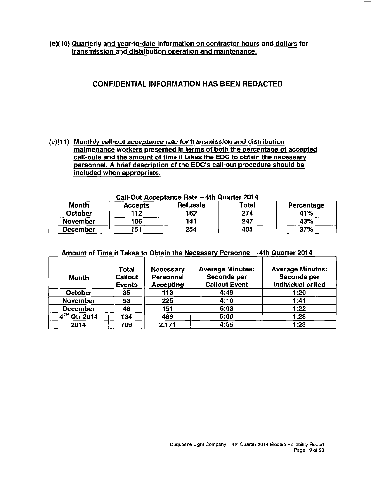(e)(10) Quarterly and vear-to-date information on contractor hours and dollars for transmission and distribution operation and maintenance.

# **CONFIDENTIAL INFORMATION HAS BEEN REDACTED**

(e)(11) Monthly call-out acceptance rate for transmission and distribution maintenance workers presented in terms of both the percentage of accepted call-outs and the amount of time it takes the EDC to obtain the necessary personnel. A brief description of the EDC's call-out procedure should be included when appropriate.

|                 | Call-Out Acceptance Hate – 4th Quarter 2014 |                 |       |            |  |  |  |  |  |
|-----------------|---------------------------------------------|-----------------|-------|------------|--|--|--|--|--|
| <b>Month</b>    | <b>Accepts</b>                              | <b>Refusals</b> | Total | Percentage |  |  |  |  |  |
| October         | 112                                         | 162             | 274   | 41%        |  |  |  |  |  |
| <b>November</b> | 106                                         | 141             | 247   | 43%        |  |  |  |  |  |
| December        | 151                                         | 254             | 405   | 37%        |  |  |  |  |  |

| Call-Out Acceptance Rate - 4th Quarter 2014 |  |  |
|---------------------------------------------|--|--|
|                                             |  |  |

| <b>Month</b>      | <b>Total</b><br><b>Callout</b><br><b>Events</b> | <b>Necessary</b><br>Personnel<br><b>Accepting</b> | <b>Average Minutes:</b><br>Seconds per<br><b>Callout Event</b> | <b>Average Minutes:</b><br>Seconds per<br>Individual called |
|-------------------|-------------------------------------------------|---------------------------------------------------|----------------------------------------------------------------|-------------------------------------------------------------|
| <b>October</b>    | 35                                              | 113                                               | 4:49                                                           | 1:20                                                        |
| <b>November</b>   | 53                                              | 225                                               | 4:10                                                           | 1:41                                                        |
| <b>December</b>   | 46                                              | 151                                               | 6:03                                                           | 1:22                                                        |
| $4^{7H}$ Qtr 2014 | 134                                             | 489                                               | 5:06                                                           | 1:28                                                        |
| 2014              | 709                                             | 2,171                                             | 4:55                                                           | 1:23                                                        |

#### Amount of Time it Takes to Obtain the Necessary Personnel - 4th Quarter 2014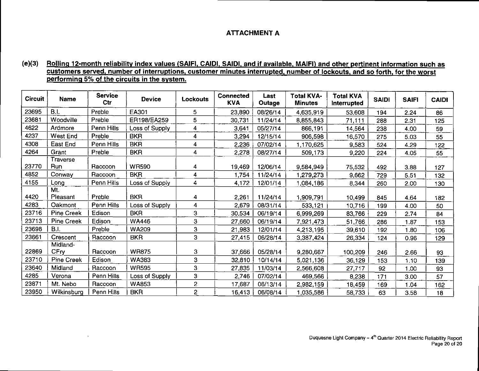## **ATTACHMENT A**

#### **(e)(3) Rolling 12-month reliability index values (SAIFI. CAIDI. SAIDI. and if available. MAIFI) and other pertinent information such as customers served, number of interruptions, customer minutes interrupted, number of lockouts, and so forth, for the worst performing 5% of the circuits in the system.**

| <b>Circuit</b> | Name                         | <b>Service</b><br>Ctr | <b>Device</b>  | Lockouts       | <b>Connected</b><br><b>KVA</b> | Last<br>Outage | <b>Total KVA-</b><br><b>Minutes</b> | <b>Total KVA</b><br>Interrupted | <b>SAIDI</b> | <b>SAIF1</b> | <b>CAIDI</b> |
|----------------|------------------------------|-----------------------|----------------|----------------|--------------------------------|----------------|-------------------------------------|---------------------------------|--------------|--------------|--------------|
| 23695          | B.I.                         | Preble                | EA301          | 5              | 23,890                         | 08/26/14       | 4,635,919                           | 53,608                          | 194          | 2.24         | 86           |
| 23681          | Woodville                    | Preble                | ER198/EA259    | 5              | 30,731                         | 11/24/14       | 8,855,843                           | 71,111                          | 288          | 2.31         | 125          |
| 4622           | Ardmore                      | Penn Hills            | Loss of Supply | 4              | 3,641                          | 05/27/14       | 866,191                             | 14,564                          | 238          | 4.00         | 59           |
| 4237           | West End                     | Preble                | <b>BKR</b>     | 4              | 3,294                          | 12/15/14       | 906,598                             | 16,570                          | 275          | 5.03         | 55           |
| 4308           | East End                     | Penn Hills            | <b>BKR</b>     | 4              | 2,236                          | 07/02/14       | 1,170,625                           | 9,583                           | 524          | 4.29         | 122          |
| 4264           | Grant                        | Preble                | <b>BKR</b>     | 4              | 2,278                          | 08/27/14       | 509,173                             | 9,220                           | 224          | 4.05         | 55           |
| 23770          | Traverse<br>Run              | Raccoon               | <b>WR590</b>   | 4              | 19,469                         | 12/06/14       | 9,584,949                           | 75,532                          | 492          | 3.88         | 127          |
| 4852           | Conway                       | Raccoon               | <b>BKR</b>     | 4              | 1,754                          | 11/24/14       | 1,279,273                           | 9,662                           | 729          | 5.51         | 132          |
| 4155           | Long                         | Penn Hills            | Loss of Supply | 4              | 4,172                          | 12/01/14       | 1,084,186                           | 8,344                           | 260          | 2.00         | 130          |
| 4420           | Mt.<br>Pleasant              | Preble                | <b>BKR</b>     | 4              | 2,261                          | 11/24/14       | 1,909,791                           | 10,499                          | 845          | 4.64         | 182          |
| 4283           | Oakmont                      | Penn Hills            | Loss of Supply | 4              | 2,679                          | 08/31/14       | 533,121                             | 10,716                          | 199          | 4.00         | 50           |
| 23716          | <b>Pine Creek</b>            | Edison                | <b>BKR</b>     | 3              | 30,534                         | 06/19/14       | 6,999,269                           | 83,766                          | 229          | 2.74         | 84           |
| 23713          | <b>Pine Creek</b>            | Edison                | <b>WA446</b>   | 3              | 27,660                         | 06/19/14       | 7,921,473                           | 51,766                          | 286          | 1.87         | 153          |
| 23698          | B.I.                         | Preble                | <b>WA209</b>   | 3              | 21,983                         | 12/01/14       | 4,213,195                           | 39,610                          | 192          | 1.80         | 106          |
| 23661          | Crescent                     | Raccoon               | <b>BKR</b>     | 3              | 27,415                         | 06/28/14       | 3,387,424                           | 26,334                          | 124          | 0.96         | 129          |
| 22869          | Midland-<br>CF <sub>IV</sub> | Raccoon               | <b>WR875</b>   | 3              | 37,666                         | 05/28/14       | 9,280,667                           | 100,209                         | 246          | 2.66         | 93           |
| 23710          | Pine Creek                   | Edison                | WA383          | 3              | 32,810                         | 10/14/14       | 5,021,136                           | 36,129                          | 153          | 1.10         | 139          |
| 23640          | Midland                      | Raccoon               | <b>WR595</b>   | 3              | 27,835                         | 11/03/14       | 2,566,608                           | 27,717                          | 92           | 1.00         | 93           |
| 4285           | Verona                       | Penn Hills            | Loss of Supply | 3              | 2,746                          | 07/02/14       | 469,566                             | 8,238                           | 171          | 3.00         | 57           |
| 23871          | Mt. Nebo                     | Raccoon               | WA853          | 2              | 17,687                         | 06/13/14       | 2,982,159                           | 18,459                          | 169          | 1.04         | 162          |
| 23950          | Wilkinsburg                  | Penn Hills            | <b>BKR</b>     | $\overline{2}$ | 16,413                         | 06/08/14       | 1,035,586                           | 58,733                          | 63           | 3.58         | 18           |